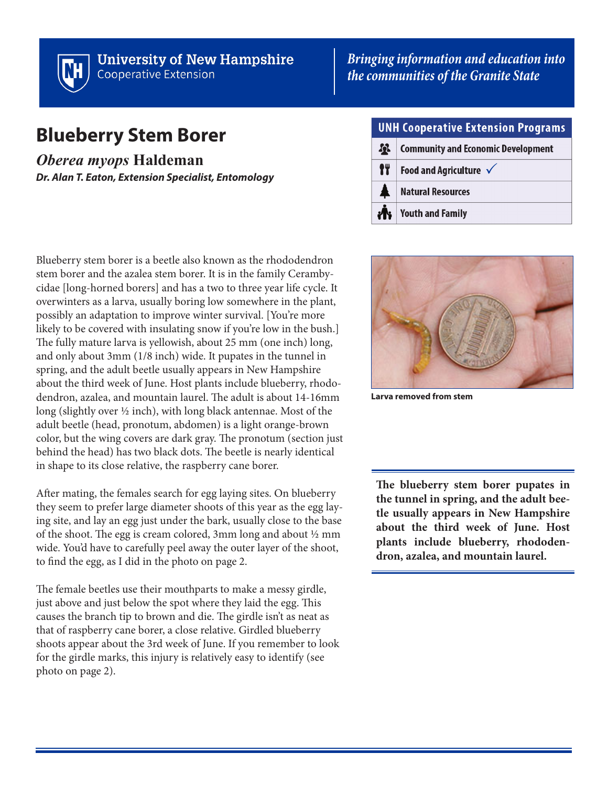

**University of New Hampshire Cooperative Extension** 

# *Bringing information and education into the communities of the Granite State*

# **Blueberry Stem Borer**

*Oberea myops* **Haldeman** *Dr. Alan T. Eaton, Extension Specialist, Entomology*

Blueberry stem borer is a beetle also known as the rhododendron stem borer and the azalea stem borer. It is in the family Cerambycidae [long-horned borers] and has a two to three year life cycle. It overwinters as a larva, usually boring low somewhere in the plant, possibly an adaptation to improve winter survival. [You're more likely to be covered with insulating snow if you're low in the bush.] The fully mature larva is yellowish, about 25 mm (one inch) long, and only about 3mm (1/8 inch) wide. It pupates in the tunnel in spring, and the adult beetle usually appears in New Hampshire about the third week of June. Host plants include blueberry, rhododendron, azalea, and mountain laurel. The adult is about 14-16mm long (slightly over ½ inch), with long black antennae. Most of the adult beetle (head, pronotum, abdomen) is a light orange-brown color, but the wing covers are dark gray. The pronotum (section just behind the head) has two black dots. The beetle is nearly identical in shape to its close relative, the raspberry cane borer.

After mating, the females search for egg laying sites. On blueberry they seem to prefer large diameter shoots of this year as the egg laying site, and lay an egg just under the bark, usually close to the base of the shoot. The egg is cream colored, 3mm long and about ½ mm wide. You'd have to carefully peel away the outer layer of the shoot, to find the egg, as I did in the photo on page 2.

The female beetles use their mouthparts to make a messy girdle, just above and just below the spot where they laid the egg. This causes the branch tip to brown and die. The girdle isn't as neat as that of raspberry cane borer, a close relative. Girdled blueberry shoots appear about the 3rd week of June. If you remember to look for the girdle marks, this injury is relatively easy to identify (see photo on page 2).

| <b>UNH Cooperative Extension Programs</b> |                                           |
|-------------------------------------------|-------------------------------------------|
| $\mathbf{R}$                              | <b>Community and Economic Development</b> |
| 11                                        | Food and Agriculture $\checkmark$         |
|                                           | <b>Natural Resources</b>                  |
|                                           | <b>Youth and Family</b>                   |



**Larva removed from stem**

**The blueberry stem borer pupates in the tunnel in spring, and the adult beetle usually appears in New Hampshire about the third week of June. Host plants include blueberry, rhododendron, azalea, and mountain laurel.**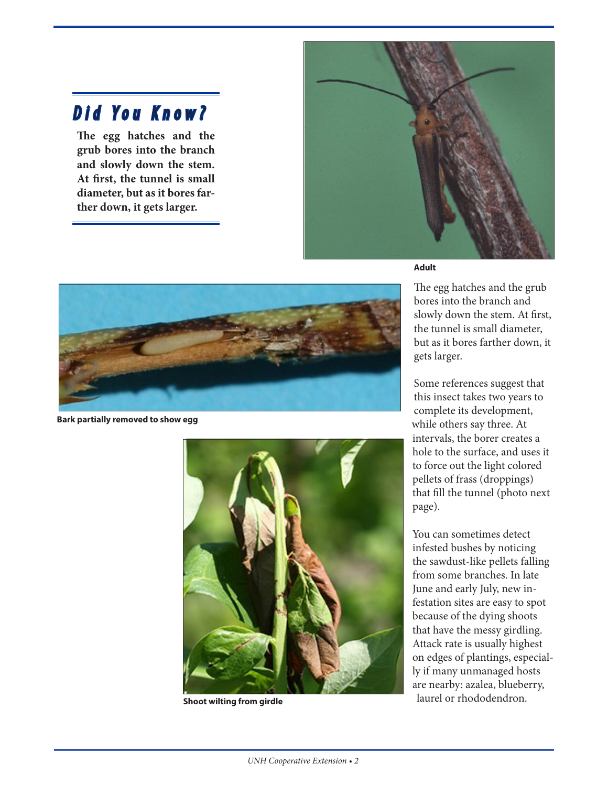# *Did You Know?*

**The egg hatches and the grub bores into the branch and slowly down the stem. At first, the tunnel is small diameter, but as it bores farther down, it gets larger.** 



**Adult**



**Bark partially removed to show egg**



**Shoot wilting from girdle**

The egg hatches and the grub bores into the branch and slowly down the stem. At first, the tunnel is small diameter, but as it bores farther down, it gets larger.

Some references suggest that this insect takes two years to complete its development, while others say three. At intervals, the borer creates a hole to the surface, and uses it to force out the light colored pellets of frass (droppings) that fill the tunnel (photo next page).

You can sometimes detect infested bushes by noticing the sawdust-like pellets falling from some branches. In late June and early July, new infestation sites are easy to spot because of the dying shoots that have the messy girdling. Attack rate is usually highest on edges of plantings, especially if many unmanaged hosts are nearby: azalea, blueberry, laurel or rhododendron.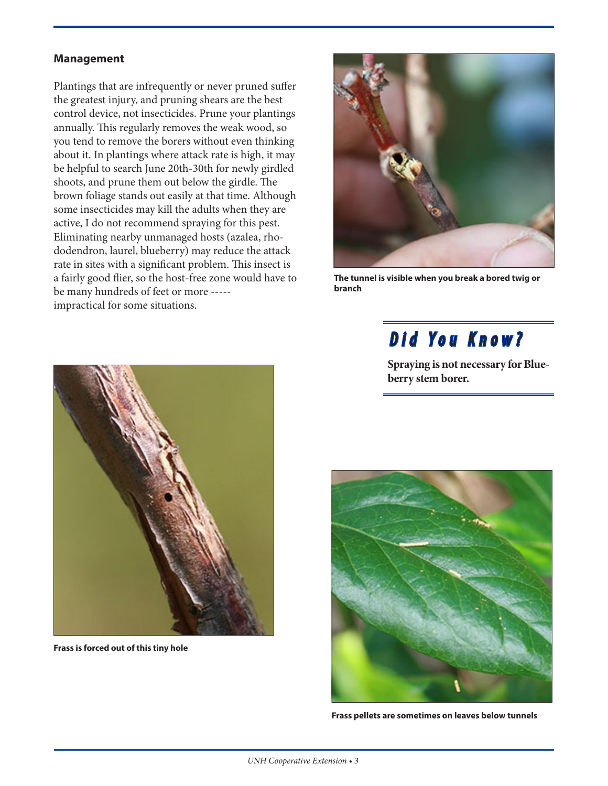### **Management**

Plantings that are infrequently or never pruned suffer the greatest injury, and pruning shears are the best control device, not insecticides. Prune your plantings annually. This regularly removes the weak wood, so you tend to remove the borers without even thinking about it. In plantings where attack rate is high, it may be helpful to search June 20th-30th for newly girdled shoots, and prune them out below the girdle. The brown foliage stands out easily at that time. Although some insecticides may kill the adults when they are active, I do not recommend spraying for this pest. Eliminating nearby unmanaged hosts (azalea, rhododendron, laurel, blueberry) may reduce the attack rate in sites with a significant problem. This insect is a fairly good flier, so the host-free zone would have to be many hundreds of feet or more ---- impractical for some situations.



**The tunnel is visible when you break a bored twig or branch**



**Frass is forced out of this tiny hole**

# *Did You Know?*

**Spraying is not necessary for Blueberry stem borer.**



**Frass pellets are sometimes on leaves below tunnels**